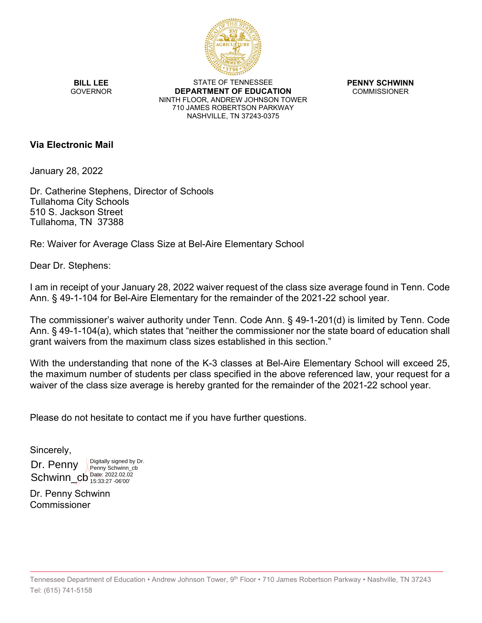

**BILL LEE GOVERNOR** 

STATE OF TENNESSEE **DEPARTMENT OF EDUCATION** NINTH FLOOR, ANDREW JOHNSON TOWER 710 JAMES ROBERTSON PARKWAY NASHVILLE, TN 37243-0375

**PENNY SCHWINN** COMMISSIONER

**Via Electronic Mail**

January 28, 2022

Dr. Catherine Stephens, Director of Schools Tullahoma City Schools 510 S. Jackson Street Tullahoma, TN 37388

Re: Waiver for Average Class Size at Bel-Aire Elementary School

Dear Dr. Stephens:

I am in receipt of your January 28, 2022 waiver request of the class size average found in Tenn. Code Ann. § 49-1-104 for Bel-Aire Elementary for the remainder of the 2021-22 school year.

The commissioner's waiver authority under Tenn. Code Ann. § 49-1-201(d) is limited by Tenn. Code Ann. § 49-1-104(a), which states that "neither the commissioner nor the state board of education shall grant waivers from the maximum class sizes established in this section."

With the understanding that none of the K-3 classes at Bel-Aire Elementary School will exceed 25, the maximum number of students per class specified in the above referenced law, your request for a waiver of the class size average is hereby granted for the remainder of the 2021-22 school year.

Please do not hesitate to contact me if you have further questions.

Sincerely,

Dr. Penny Schwinn\_cb<sup>Date: 2022.02.02</sup> Digitally signed by Dr. Penny Schwinn\_cb 15:33:27 -06'00'

Dr. Penny Schwinn Commissioner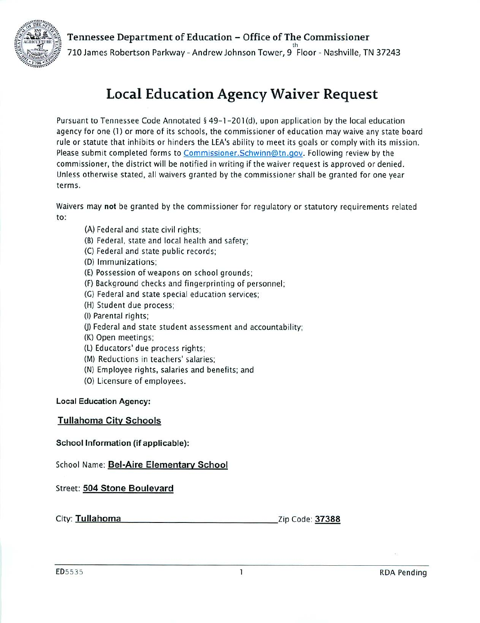Tennessee Department of Education - Office of The Commissioner



710 James Robertson Parkway - Andrew Johnson Tower, 9 Floor - Nashville, TN 37243

# **Local Education Agency Waiver Request**

Pursuant to Tennessee Code Annotated § 49-1-201(d), upon application by the local education agency for one (1) or more of its schools, the commissioner of education may waive any state board rule or statute that inhibits or hinders the LEA's ability to meet its goals or comply with its mission. Please submit completed forms to Commissioner. Schwinn@tn.gov. Following review by the commissioner, the district will be notified in writing if the waiver request is approved or denied. Unless otherwise stated, all waivers granted by the commissioner shall be granted for one year terms.

Waivers may not be granted by the commissioner for regulatory or statutory requirements related to:

- (A) Federal and state civil rights:
- (B) Federal, state and local health and safety;
- (C) Federal and state public records;
- (D) Immunizations;
- (E) Possession of weapons on school grounds;
- (F) Background checks and fingerprinting of personnel:
- (G) Federal and state special education services;
- (H) Student due process:
- (I) Parental rights;
- (J) Federal and state student assessment and accountability;
- (K) Open meetings;
- (L) Educators' due process rights;
- (M) Reductions in teachers' salaries:
- (N) Employee rights, salaries and benefits; and
- (O) Licensure of employees.

#### **Local Education Agency:**

**Tullahoma City Schools** 

School Information (if applicable):

School Name: Bel-Aire Elementary School

Street: 504 Stone Boulevard

City: Tullahoma Zip Code: 37388